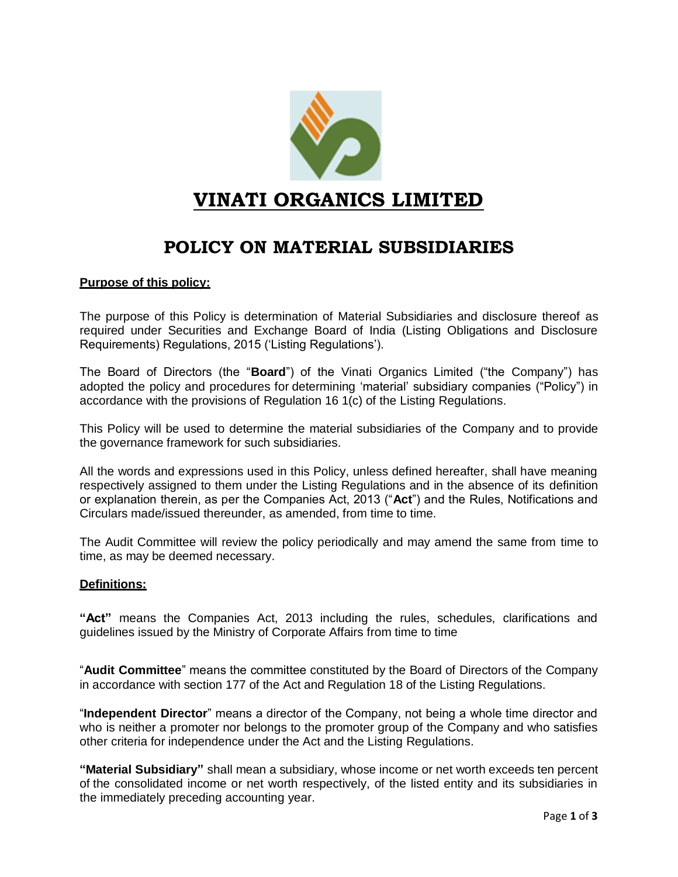

# **VINATI ORGANICS LIMITED**

## **POLICY ON MATERIAL SUBSIDIARIES**

### **Purpose of this policy:**

The purpose of this Policy is determination of Material Subsidiaries and disclosure thereof as required under Securities and Exchange Board of India (Listing Obligations and Disclosure Requirements) Regulations, 2015 ('Listing Regulations').

The Board of Directors (the "**Board**") of the Vinati Organics Limited ("the Company") has adopted the policy and procedures for determining 'material' subsidiary companies ("Policy") in accordance with the provisions of Regulation 16 1(c) of the Listing Regulations.

This Policy will be used to determine the material subsidiaries of the Company and to provide the governance framework for such subsidiaries.

All the words and expressions used in this Policy, unless defined hereafter, shall have meaning respectively assigned to them under the Listing Regulations and in the absence of its definition or explanation therein, as per the Companies Act, 2013 ("**Act**") and the Rules, Notifications and Circulars made/issued thereunder, as amended, from time to time.

The Audit Committee will review the policy periodically and may amend the same from time to time, as may be deemed necessary.

#### **Definitions:**

**"Act"** means the Companies Act, 2013 including the rules, schedules, clarifications and guidelines issued by the Ministry of Corporate Affairs from time to time

"**Audit Committee**" means the committee constituted by the Board of Directors of the Company in accordance with section 177 of the Act and Regulation 18 of the Listing Regulations.

"**Independent Director**" means a director of the Company, not being a whole time director and who is neither a promoter nor belongs to the promoter group of the Company and who satisfies other criteria for independence under the Act and the Listing Regulations.

**"Material Subsidiary"** shall mean a subsidiary, whose income or net worth exceeds ten percent of the consolidated income or net worth respectively, of the listed entity and its subsidiaries in the immediately preceding accounting year.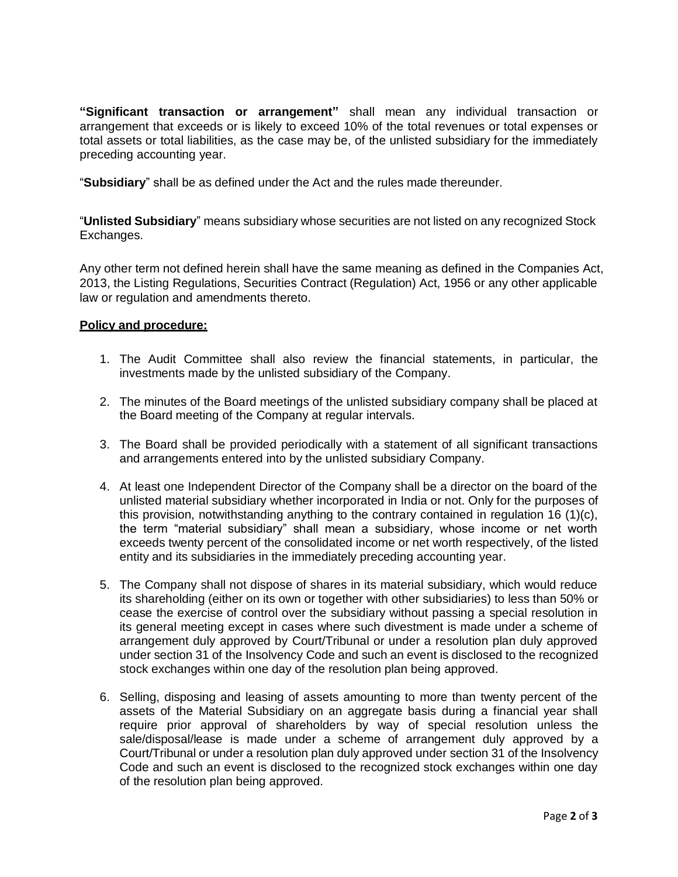**"Significant transaction or arrangement"** shall mean any individual transaction or arrangement that exceeds or is likely to exceed 10% of the total revenues or total expenses or total assets or total liabilities, as the case may be, of the unlisted subsidiary for the immediately preceding accounting year.

"**Subsidiary**" shall be as defined under the Act and the rules made thereunder.

"**Unlisted Subsidiary**" means subsidiary whose securities are not listed on any recognized Stock Exchanges.

Any other term not defined herein shall have the same meaning as defined in the Companies Act, 2013, the Listing Regulations, Securities Contract (Regulation) Act, 1956 or any other applicable law or regulation and amendments thereto.

#### **Policy and procedure:**

- 1. The Audit Committee shall also review the financial statements, in particular, the investments made by the unlisted subsidiary of the Company.
- 2. The minutes of the Board meetings of the unlisted subsidiary company shall be placed at the Board meeting of the Company at regular intervals.
- 3. The Board shall be provided periodically with a statement of all significant transactions and arrangements entered into by the unlisted subsidiary Company.
- 4. At least one Independent Director of the Company shall be a director on the board of the unlisted material subsidiary whether incorporated in India or not. Only for the purposes of this provision, notwithstanding anything to the contrary contained in regulation 16 (1)(c), the term "material subsidiary" shall mean a subsidiary, whose income or net worth exceeds twenty percent of the consolidated income or net worth respectively, of the listed entity and its subsidiaries in the immediately preceding accounting year.
- 5. The Company shall not dispose of shares in its material subsidiary, which would reduce its shareholding (either on its own or together with other subsidiaries) to less than 50% or cease the exercise of control over the subsidiary without passing a special resolution in its general meeting except in cases where such divestment is made under a scheme of arrangement duly approved by Court/Tribunal or under a resolution plan duly approved under section 31 of the Insolvency Code and such an event is disclosed to the recognized stock exchanges within one day of the resolution plan being approved.
- 6. Selling, disposing and leasing of assets amounting to more than twenty percent of the assets of the Material Subsidiary on an aggregate basis during a financial year shall require prior approval of shareholders by way of special resolution unless the sale/disposal/lease is made under a scheme of arrangement duly approved by a Court/Tribunal or under a resolution plan duly approved under section 31 of the Insolvency Code and such an event is disclosed to the recognized stock exchanges within one day of the resolution plan being approved.